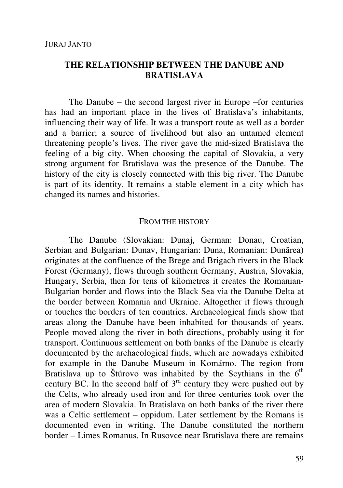# **THE RELATIONSHIP BETWEEN THE DANUBE AND BRATISLAVA**

The Danube – the second largest river in Europe –for centuries has had an important place in the lives of Bratislava's inhabitants, influencing their way of life. It was a transport route as well as a border and a barrier; a source of livelihood but also an untamed element threatening people's lives. The river gave the mid-sized Bratislava the feeling of a big city. When choosing the capital of Slovakia, a very strong argument for Bratislava was the presence of the Danube. The history of the city is closely connected with this big river. The Danube is part of its identity. It remains a stable element in a city which has changed its names and histories.

#### FROM THE HISTORY

The Danube (Slovakian: Dunaj, German: Donau, Croatian, Serbian and Bulgarian: Dunav, Hungarian: Duna, Romanian: Dunărea) originates at the confluence of the Brege and Brigach rivers in the Black Forest (Germany), flows through southern Germany, Austria, Slovakia, Hungary, Serbia, then for tens of kilometres it creates the Romanian-Bulgarian border and flows into the Black Sea via the Danube Delta at the border between Romania and Ukraine. Altogether it flows through or touches the borders of ten countries. Archaeological finds show that areas along the Danube have been inhabited for thousands of years. People moved along the river in both directions, probably using it for transport. Continuous settlement on both banks of the Danube is clearly documented by the archaeological finds, which are nowadays exhibited for example in the Danube Museum in Komárno. The region from Bratislava up to Štúrovo was inhabited by the Scythians in the  $6<sup>th</sup>$ century BC. In the second half of  $3<sup>rd</sup>$  century they were pushed out by the Celts, who already used iron and for three centuries took over the area of modern Slovakia. In Bratislava on both banks of the river there was a Celtic settlement – oppidum. Later settlement by the Romans is documented even in writing. The Danube constituted the northern border – Limes Romanus. In Rusovce near Bratislava there are remains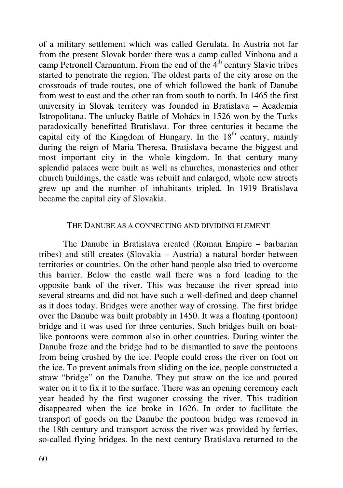of a military settlement which was called Gerulata. In Austria not far from the present Slovak border there was a camp called Vinbona and a camp Petronell Carnuntum. From the end of the  $4<sup>th</sup>$  century Slavic tribes started to penetrate the region. The oldest parts of the city arose on the crossroads of trade routes, one of which followed the bank of Danube from west to east and the other ran from south to north. In 1465 the first university in Slovak territory was founded in Bratislava – Academia Istropolitana. The unlucky Battle of Mohács in 1526 won by the Turks paradoxically benefitted Bratislava. For three centuries it became the capital city of the Kingdom of Hungary. In the  $18<sup>th</sup>$  century, mainly during the reign of Maria Theresa, Bratislava became the biggest and most important city in the whole kingdom. In that century many splendid palaces were built as well as churches, monasteries and other church buildings, the castle was rebuilt and enlarged, whole new streets grew up and the number of inhabitants tripled. In 1919 Bratislava became the capital city of Slovakia.

#### THE DANUBE AS A CONNECTING AND DIVIDING ELEMENT

The Danube in Bratislava created (Roman Empire – barbarian tribes) and still creates (Slovakia – Austria) a natural border between territories or countries. On the other hand people also tried to overcome this barrier. Below the castle wall there was a ford leading to the opposite bank of the river. This was because the river spread into several streams and did not have such a well-defined and deep channel as it does today. Bridges were another way of crossing. The first bridge over the Danube was built probably in 1450. It was a floating (pontoon) bridge and it was used for three centuries. Such bridges built on boatlike pontoons were common also in other countries. During winter the Danube froze and the bridge had to be dismantled to save the pontoons from being crushed by the ice. People could cross the river on foot on the ice. To prevent animals from sliding on the ice, people constructed a straw "bridge" on the Danube. They put straw on the ice and poured water on it to fix it to the surface. There was an opening ceremony each year headed by the first wagoner crossing the river. This tradition disappeared when the ice broke in 1626. In order to facilitate the transport of goods on the Danube the pontoon bridge was removed in the 18th century and transport across the river was provided by ferries, so-called flying bridges. In the next century Bratislava returned to the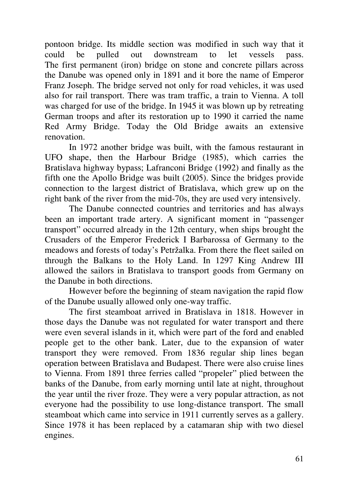pontoon bridge. Its middle section was modified in such way that it could be pulled out downstream to let vessels pass. The first permanent (iron) bridge on stone and concrete pillars across the Danube was opened only in 1891 and it bore the name of Emperor Franz Joseph. The bridge served not only for road vehicles, it was used also for rail transport. There was tram traffic, a train to Vienna. A toll was charged for use of the bridge. In 1945 it was blown up by retreating German troops and after its restoration up to 1990 it carried the name Red Army Bridge. Today the Old Bridge awaits an extensive renovation.

In 1972 another bridge was built, with the famous restaurant in UFO shape, then the Harbour Bridge (1985), which carries the Bratislava highway bypass; Lafranconi Bridge (1992) and finally as the fifth one the Apollo Bridge was built (2005). Since the bridges provide connection to the largest district of Bratislava, which grew up on the right bank of the river from the mid-70s, they are used very intensively.

The Danube connected countries and territories and has always been an important trade artery. A significant moment in "passenger transport" occurred already in the 12th century, when ships brought the Crusaders of the Emperor Frederick I Barbarossa of Germany to the meadows and forests of today's Petržalka. From there the fleet sailed on through the Balkans to the Holy Land. In 1297 King Andrew III allowed the sailors in Bratislava to transport goods from Germany on the Danube in both directions.

However before the beginning of steam navigation the rapid flow of the Danube usually allowed only one-way traffic.

The first steamboat arrived in Bratislava in 1818. However in those days the Danube was not regulated for water transport and there were even several islands in it, which were part of the ford and enabled people get to the other bank. Later, due to the expansion of water transport they were removed. From 1836 regular ship lines began operation between Bratislava and Budapest. There were also cruise lines to Vienna. From 1891 three ferries called "propeler" plied between the banks of the Danube, from early morning until late at night, throughout the year until the river froze. They were a very popular attraction, as not everyone had the possibility to use long-distance transport. The small steamboat which came into service in 1911 currently serves as a gallery. Since 1978 it has been replaced by a catamaran ship with two diesel engines.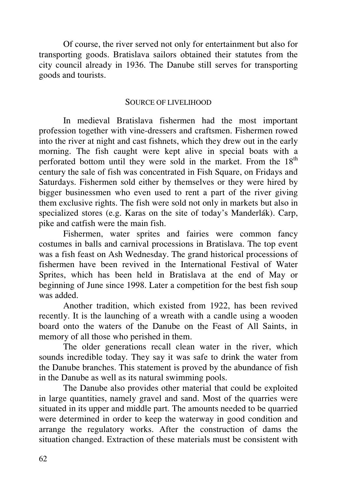Of course, the river served not only for entertainment but also for transporting goods. Bratislava sailors obtained their statutes from the city council already in 1936. The Danube still serves for transporting goods and tourists.

### SOURCE OF LIVELIHOOD

In medieval Bratislava fishermen had the most important profession together with vine-dressers and craftsmen. Fishermen rowed into the river at night and cast fishnets, which they drew out in the early morning. The fish caught were kept alive in special boats with a perforated bottom until they were sold in the market. From the  $18<sup>th</sup>$ century the sale of fish was concentrated in Fish Square, on Fridays and Saturdays. Fishermen sold either by themselves or they were hired by bigger businessmen who even used to rent a part of the river giving them exclusive rights. The fish were sold not only in markets but also in specialized stores (e.g. Karas on the site of today's Manderlák). Carp, pike and catfish were the main fish.

Fishermen, water sprites and fairies were common fancy costumes in balls and carnival processions in Bratislava. The top event was a fish feast on Ash Wednesday. The grand historical processions of fishermen have been revived in the International Festival of Water Sprites, which has been held in Bratislava at the end of May or beginning of June since 1998. Later a competition for the best fish soup was added.

Another tradition, which existed from 1922, has been revived recently. It is the launching of a wreath with a candle using a wooden board onto the waters of the Danube on the Feast of All Saints, in memory of all those who perished in them.

The older generations recall clean water in the river, which sounds incredible today. They say it was safe to drink the water from the Danube branches. This statement is proved by the abundance of fish in the Danube as well as its natural swimming pools.

The Danube also provides other material that could be exploited in large quantities, namely gravel and sand. Most of the quarries were situated in its upper and middle part. The amounts needed to be quarried were determined in order to keep the waterway in good condition and arrange the regulatory works. After the construction of dams the situation changed. Extraction of these materials must be consistent with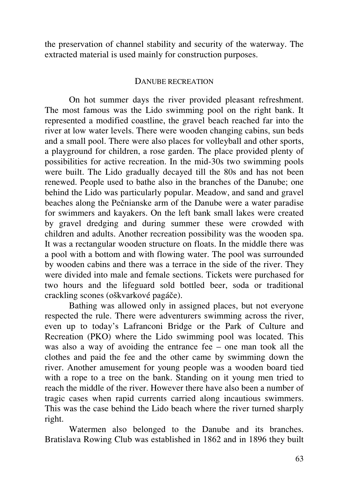the preservation of channel stability and security of the waterway. The extracted material is used mainly for construction purposes.

## DANUBE RECREATION

On hot summer days the river provided pleasant refreshment. The most famous was the Lido swimming pool on the right bank. It represented a modified coastline, the gravel beach reached far into the river at low water levels. There were wooden changing cabins, sun beds and a small pool. There were also places for volleyball and other sports, a playground for children, a rose garden. The place provided plenty of possibilities for active recreation. In the mid-30s two swimming pools were built. The Lido gradually decayed till the 80s and has not been renewed. People used to bathe also in the branches of the Danube; one behind the Lido was particularly popular. Meadow, and sand and gravel beaches along the Pečnianske arm of the Danube were a water paradise for swimmers and kayakers. On the left bank small lakes were created by gravel dredging and during summer these were crowded with children and adults. Another recreation possibility was the wooden spa. It was a rectangular wooden structure on floats. In the middle there was a pool with a bottom and with flowing water. The pool was surrounded by wooden cabins and there was a terrace in the side of the river. They were divided into male and female sections. Tickets were purchased for two hours and the lifeguard sold bottled beer, soda or traditional crackling scones (oškvarkové pagáče).

Bathing was allowed only in assigned places, but not everyone respected the rule. There were adventurers swimming across the river, even up to today's Lafranconi Bridge or the Park of Culture and Recreation (PKO) where the Lido swimming pool was located. This was also a way of avoiding the entrance fee – one man took all the clothes and paid the fee and the other came by swimming down the river. Another amusement for young people was a wooden board tied with a rope to a tree on the bank. Standing on it young men tried to reach the middle of the river. However there have also been a number of tragic cases when rapid currents carried along incautious swimmers. This was the case behind the Lido beach where the river turned sharply right.

Watermen also belonged to the Danube and its branches. Bratislava Rowing Club was established in 1862 and in 1896 they built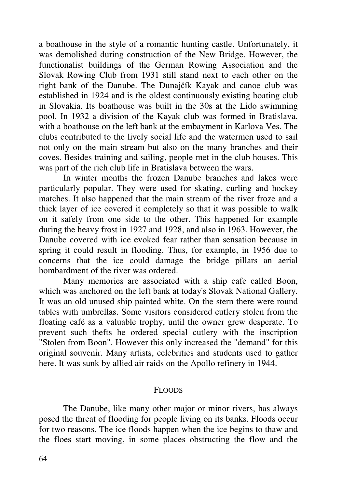a boathouse in the style of a romantic hunting castle. Unfortunately, it was demolished during construction of the New Bridge. However, the functionalist buildings of the German Rowing Association and the Slovak Rowing Club from 1931 still stand next to each other on the right bank of the Danube. The Dunajčík Kayak and canoe club was established in 1924 and is the oldest continuously existing boating club in Slovakia. Its boathouse was built in the 30s at the Lido swimming pool. In 1932 a division of the Kayak club was formed in Bratislava, with a boathouse on the left bank at the embayment in Karlova Ves. The clubs contributed to the lively social life and the watermen used to sail not only on the main stream but also on the many branches and their coves. Besides training and sailing, people met in the club houses. This was part of the rich club life in Bratislava between the wars.

In winter months the frozen Danube branches and lakes were particularly popular. They were used for skating, curling and hockey matches. It also happened that the main stream of the river froze and a thick layer of ice covered it completely so that it was possible to walk on it safely from one side to the other. This happened for example during the heavy frost in 1927 and 1928, and also in 1963. However, the Danube covered with ice evoked fear rather than sensation because in spring it could result in flooding. Thus, for example, in 1956 due to concerns that the ice could damage the bridge pillars an aerial bombardment of the river was ordered.

Many memories are associated with a ship cafe called Boon, which was anchored on the left bank at today's Slovak National Gallery. It was an old unused ship painted white. On the stern there were round tables with umbrellas. Some visitors considered cutlery stolen from the floating café as a valuable trophy, until the owner grew desperate. To prevent such thefts he ordered special cutlery with the inscription "Stolen from Boon". However this only increased the "demand" for this original souvenir. Many artists, celebrities and students used to gather here. It was sunk by allied air raids on the Apollo refinery in 1944.

# FLOODS

The Danube, like many other major or minor rivers, has always posed the threat of flooding for people living on its banks. Floods occur for two reasons. The ice floods happen when the ice begins to thaw and the floes start moving, in some places obstructing the flow and the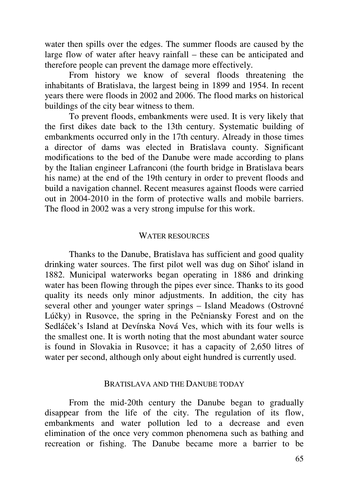water then spills over the edges. The summer floods are caused by the large flow of water after heavy rainfall – these can be anticipated and therefore people can prevent the damage more effectively.

From history we know of several floods threatening the inhabitants of Bratislava, the largest being in 1899 and 1954. In recent years there were floods in 2002 and 2006. The flood marks on historical buildings of the city bear witness to them.

To prevent floods, embankments were used. It is very likely that the first dikes date back to the 13th century. Systematic building of embankments occurred only in the 17th century. Already in those times a director of dams was elected in Bratislava county. Significant modifications to the bed of the Danube were made according to plans by the Italian engineer Lafranconi (the fourth bridge in Bratislava bears his name) at the end of the 19th century in order to prevent floods and build a navigation channel. Recent measures against floods were carried out in 2004-2010 in the form of protective walls and mobile barriers. The flood in 2002 was a very strong impulse for this work.

### WATER RESOURCES

Thanks to the Danube, Bratislava has sufficient and good quality drinking water sources. The first pilot well was dug on Sihoť island in 1882. Municipal waterworks began operating in 1886 and drinking water has been flowing through the pipes ever since. Thanks to its good quality its needs only minor adjustments. In addition, the city has several other and younger water springs – Island Meadows (Ostrovné Lúčky) in Rusovce, the spring in the Pečniansky Forest and on the Sedláček's Island at Devínska Nová Ves, which with its four wells is the smallest one. It is worth noting that the most abundant water source is found in Slovakia in Rusovce; it has a capacity of 2,650 litres of water per second, although only about eight hundred is currently used.

#### BRATISLAVA AND THE DANUBE TODAY

From the mid-20th century the Danube began to gradually disappear from the life of the city. The regulation of its flow, embankments and water pollution led to a decrease and even elimination of the once very common phenomena such as bathing and recreation or fishing. The Danube became more a barrier to be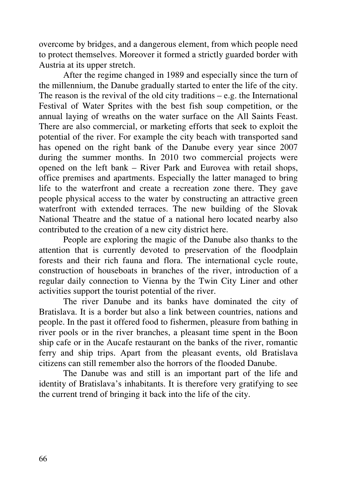overcome by bridges, and a dangerous element, from which people need to protect themselves. Moreover it formed a strictly guarded border with Austria at its upper stretch.

After the regime changed in 1989 and especially since the turn of the millennium, the Danube gradually started to enter the life of the city. The reason is the revival of the old city traditions  $-e.g.$  the International Festival of Water Sprites with the best fish soup competition, or the annual laying of wreaths on the water surface on the All Saints Feast. There are also commercial, or marketing efforts that seek to exploit the potential of the river. For example the city beach with transported sand has opened on the right bank of the Danube every year since 2007 during the summer months. In 2010 two commercial projects were opened on the left bank – River Park and Eurovea with retail shops, office premises and apartments. Especially the latter managed to bring life to the waterfront and create a recreation zone there. They gave people physical access to the water by constructing an attractive green waterfront with extended terraces. The new building of the Slovak National Theatre and the statue of a national hero located nearby also contributed to the creation of a new city district here.

People are exploring the magic of the Danube also thanks to the attention that is currently devoted to preservation of the floodplain forests and their rich fauna and flora. The international cycle route, construction of houseboats in branches of the river, introduction of a regular daily connection to Vienna by the Twin City Liner and other activities support the tourist potential of the river.

The river Danube and its banks have dominated the city of Bratislava. It is a border but also a link between countries, nations and people. In the past it offered food to fishermen, pleasure from bathing in river pools or in the river branches, a pleasant time spent in the Boon ship cafe or in the Aucafe restaurant on the banks of the river, romantic ferry and ship trips. Apart from the pleasant events, old Bratislava citizens can still remember also the horrors of the flooded Danube.

The Danube was and still is an important part of the life and identity of Bratislava's inhabitants. It is therefore very gratifying to see the current trend of bringing it back into the life of the city.